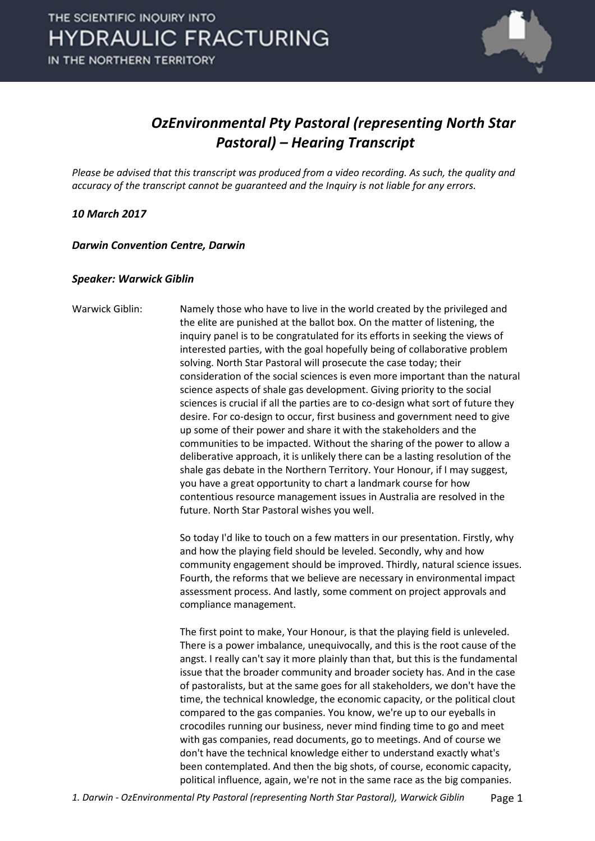

### *OzEnvironmental Pty Pastoral (representing North Star Pastoral) – Hearing Transcript*

*Please be advised that this transcript was produced from a video recording. As such, the quality and accuracy of the transcript cannot be guaranteed and the Inquiry is not liable for any errors.*

#### *10 March 2017*

*Darwin Convention Centre, Darwin* 

#### *Speaker: Warwick Giblin*

Warwick Giblin: Namely those who have to live in the world created by the privileged and the elite are punished at the ballot box. On the matter of listening, the inquiry panel is to be congratulated for its efforts in seeking the views of interested parties, with the goal hopefully being of collaborative problem solving. North Star Pastoral will prosecute the case today; their consideration of the social sciences is even more important than the natural science aspects of shale gas development. Giving priority to the social sciences is crucial if all the parties are to co-design what sort of future they desire. For co-design to occur, first business and government need to give up some of their power and share it with the stakeholders and the communities to be impacted. Without the sharing of the power to allow a deliberative approach, it is unlikely there can be a lasting resolution of the shale gas debate in the Northern Territory. Your Honour, if I may suggest, you have a great opportunity to chart a landmark course for how contentious resource management issues in Australia are resolved in the future. North Star Pastoral wishes you well.

> So today I'd like to touch on a few matters in our presentation. Firstly, why and how the playing field should be leveled. Secondly, why and how community engagement should be improved. Thirdly, natural science issues. Fourth, the reforms that we believe are necessary in environmental impact assessment process. And lastly, some comment on project approvals and compliance management.

The first point to make, Your Honour, is that the playing field is unleveled. There is a power imbalance, unequivocally, and this is the root cause of the angst. I really can't say it more plainly than that, but this is the fundamental issue that the broader community and broader society has. And in the case of pastoralists, but at the same goes for all stakeholders, we don't have the time, the technical knowledge, the economic capacity, or the political clout compared to the gas companies. You know, we're up to our eyeballs in crocodiles running our business, never mind finding time to go and meet with gas companies, read documents, go to meetings. And of course we don't have the technical knowledge either to understand exactly what's been contemplated. And then the big shots, of course, economic capacity, political influence, again, we're not in the same race as the big companies.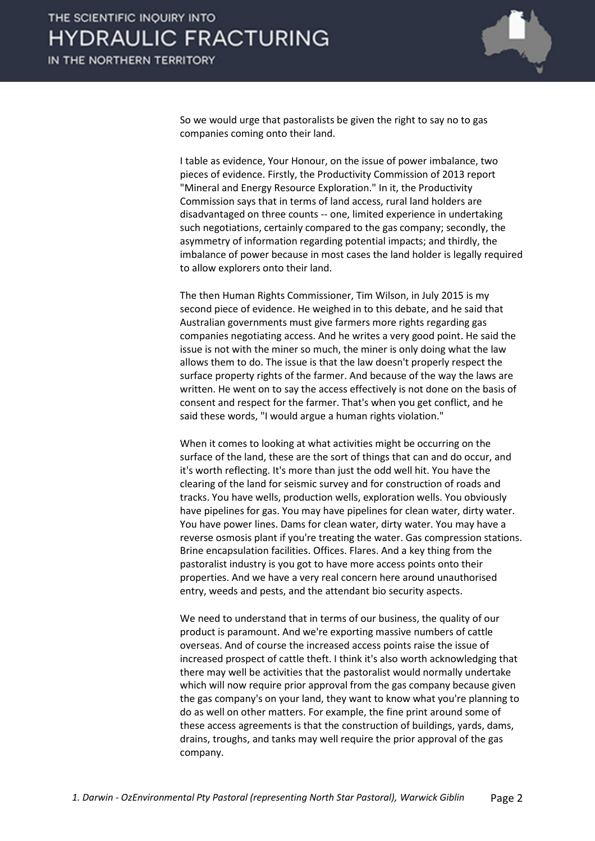

So we would urge that pastoralists be given the right to say no to gas companies coming onto their land.

I table as evidence, Your Honour, on the issue of power imbalance, two pieces of evidence. Firstly, the Productivity Commission of 2013 report "Mineral and Energy Resource Exploration." In it, the Productivity Commission says that in terms of land access, rural land holders are disadvantaged on three counts -- one, limited experience in undertaking such negotiations, certainly compared to the gas company; secondly, the asymmetry of information regarding potential impacts; and thirdly, the imbalance of power because in most cases the land holder is legally required to allow explorers onto their land.

The then Human Rights Commissioner, Tim Wilson, in July 2015 is my second piece of evidence. He weighed in to this debate, and he said that Australian governments must give farmers more rights regarding gas companies negotiating access. And he writes a very good point. He said the issue is not with the miner so much, the miner is only doing what the law allows them to do. The issue is that the law doesn't properly respect the surface property rights of the farmer. And because of the way the laws are written. He went on to say the access effectively is not done on the basis of consent and respect for the farmer. That's when you get conflict, and he said these words, "I would argue a human rights violation."

When it comes to looking at what activities might be occurring on the surface of the land, these are the sort of things that can and do occur, and it's worth reflecting. It's more than just the odd well hit. You have the clearing of the land for seismic survey and for construction of roads and tracks. You have wells, production wells, exploration wells. You obviously have pipelines for gas. You may have pipelines for clean water, dirty water. You have power lines. Dams for clean water, dirty water. You may have a reverse osmosis plant if you're treating the water. Gas compression stations. Brine encapsulation facilities. Offices. Flares. And a key thing from the pastoralist industry is you got to have more access points onto their properties. And we have a very real concern here around unauthorised entry, weeds and pests, and the attendant bio security aspects.

We need to understand that in terms of our business, the quality of our product is paramount. And we're exporting massive numbers of cattle overseas. And of course the increased access points raise the issue of increased prospect of cattle theft. I think it's also worth acknowledging that there may well be activities that the pastoralist would normally undertake which will now require prior approval from the gas company because given the gas company's on your land, they want to know what you're planning to do as well on other matters. For example, the fine print around some of these access agreements is that the construction of buildings, yards, dams, drains, troughs, and tanks may well require the prior approval of the gas company.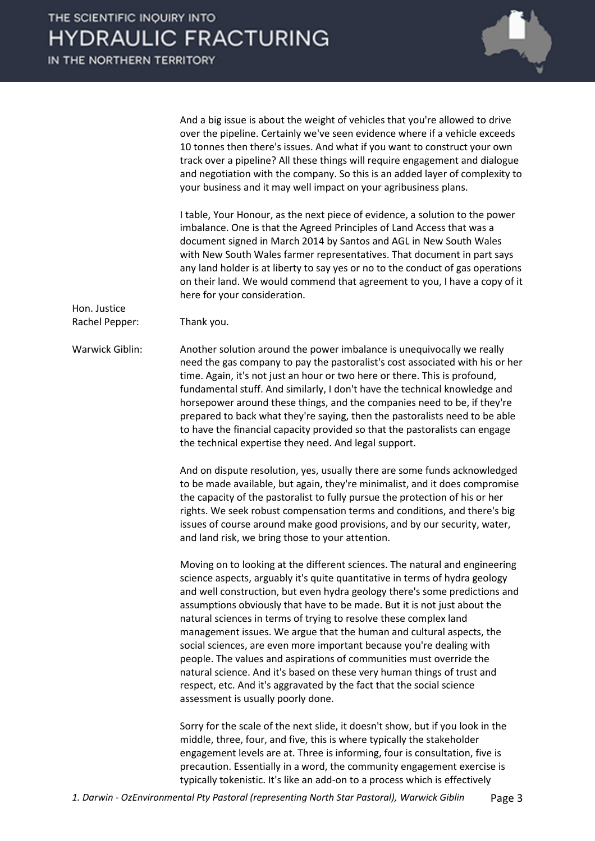

And a big issue is about the weight of vehicles that you're allowed to drive over the pipeline. Certainly we've seen evidence where if a vehicle exceeds 10 tonnes then there's issues. And what if you want to construct your own track over a pipeline? All these things will require engagement and dialogue and negotiation with the company. So this is an added layer of complexity to your business and it may well impact on your agribusiness plans.

I table, Your Honour, as the next piece of evidence, a solution to the power imbalance. One is that the Agreed Principles of Land Access that was a document signed in March 2014 by Santos and AGL in New South Wales with New South Wales farmer representatives. That document in part says any land holder is at liberty to say yes or no to the conduct of gas operations on their land. We would commend that agreement to you, I have a copy of it here for your consideration.

Hon. Justice Rachel Pepper: Thank you.

Warwick Giblin: Another solution around the power imbalance is unequivocally we really need the gas company to pay the pastoralist's cost associated with his or her time. Again, it's not just an hour or two here or there. This is profound, fundamental stuff. And similarly, I don't have the technical knowledge and horsepower around these things, and the companies need to be, if they're prepared to back what they're saying, then the pastoralists need to be able to have the financial capacity provided so that the pastoralists can engage the technical expertise they need. And legal support.

> And on dispute resolution, yes, usually there are some funds acknowledged to be made available, but again, they're minimalist, and it does compromise the capacity of the pastoralist to fully pursue the protection of his or her rights. We seek robust compensation terms and conditions, and there's big issues of course around make good provisions, and by our security, water, and land risk, we bring those to your attention.

> Moving on to looking at the different sciences. The natural and engineering science aspects, arguably it's quite quantitative in terms of hydra geology and well construction, but even hydra geology there's some predictions and assumptions obviously that have to be made. But it is not just about the natural sciences in terms of trying to resolve these complex land management issues. We argue that the human and cultural aspects, the social sciences, are even more important because you're dealing with people. The values and aspirations of communities must override the natural science. And it's based on these very human things of trust and respect, etc. And it's aggravated by the fact that the social science assessment is usually poorly done.

Sorry for the scale of the next slide, it doesn't show, but if you look in the middle, three, four, and five, this is where typically the stakeholder engagement levels are at. Three is informing, four is consultation, five is precaution. Essentially in a word, the community engagement exercise is typically tokenistic. It's like an add-on to a process which is effectively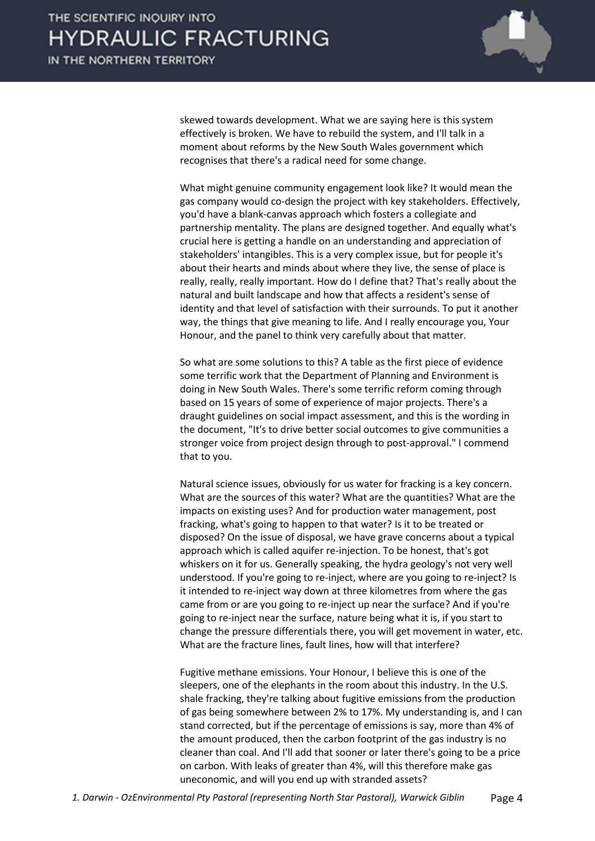

skewed towards development. What we are saying here is this system effectively is broken. We have to rebuild the system, and I'll talk in a moment about reforms by the New South Wales government which recognises that there's a radical need for some change.

What might genuine community engagement look like? It would mean the gas company would co-design the project with key stakeholders. Effectively, you'd have a blank-canvas approach which fosters a collegiate and partnership mentality. The plans are designed together. And equally what's crucial here is getting a handle on an understanding and appreciation of stakeholders' intangibles. This is a very complex issue, but for people it's about their hearts and minds about where they live, the sense of place is really, really, really important. How do I define that? That's really about the natural and built landscape and how that affects a resident's sense of identity and that level of satisfaction with their surrounds. To put it another way, the things that give meaning to life. And I really encourage you, Your Honour, and the panel to think very carefully about that matter.

So what are some solutions to this? A table as the first piece of evidence some terrific work that the Department of Planning and Environment is doing in New South Wales. There's some terrific reform coming through based on 15 years of some of experience of major projects. There's a draught guidelines on social impact assessment, and this is the wording in the document, "It's to drive better social outcomes to give communities a stronger voice from project design through to post-approval." I commend that to you.

Natural science issues, obviously for us water for fracking is a key concern. What are the sources of this water? What are the quantities? What are the impacts on existing uses? And for production water management, post fracking, what's going to happen to that water? Is it to be treated or disposed? On the issue of disposal, we have grave concerns about a typical approach which is called aquifer re-injection. To be honest, that's got whiskers on it for us. Generally speaking, the hydra geology's not very well understood. If you're going to re-inject, where are you going to re-inject? Is it intended to re-inject way down at three kilometres from where the gas came from or are you going to re-inject up near the surface? And if you're going to re-inject near the surface, nature being what it is, if you start to change the pressure differentials there, you will get movement in water, etc. What are the fracture lines, fault lines, how will that interfere?

Fugitive methane emissions. Your Honour, I believe this is one of the sleepers, one of the elephants in the room about this industry. In the U.S. shale fracking, they're talking about fugitive emissions from the production of gas being somewhere between 2% to 17%. My understanding is, and I can stand corrected, but if the percentage of emissions is say, more than 4% of the amount produced, then the carbon footprint of the gas industry is no cleaner than coal. And I'll add that sooner or later there's going to be a price on carbon. With leaks of greater than 4%, will this therefore make gas uneconomic, and will you end up with stranded assets?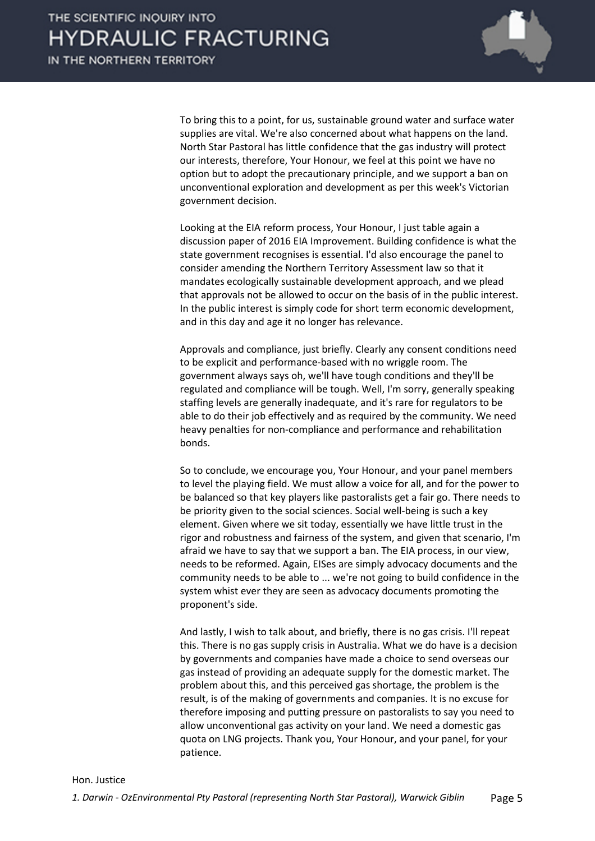

To bring this to a point, for us, sustainable ground water and surface water supplies are vital. We're also concerned about what happens on the land. North Star Pastoral has little confidence that the gas industry will protect our interests, therefore, Your Honour, we feel at this point we have no option but to adopt the precautionary principle, and we support a ban on unconventional exploration and development as per this week's Victorian government decision.

Looking at the EIA reform process, Your Honour, I just table again a discussion paper of 2016 EIA Improvement. Building confidence is what the state government recognises is essential. I'd also encourage the panel to consider amending the Northern Territory Assessment law so that it mandates ecologically sustainable development approach, and we plead that approvals not be allowed to occur on the basis of in the public interest. In the public interest is simply code for short term economic development, and in this day and age it no longer has relevance.

Approvals and compliance, just briefly. Clearly any consent conditions need to be explicit and performance-based with no wriggle room. The government always says oh, we'll have tough conditions and they'll be regulated and compliance will be tough. Well, I'm sorry, generally speaking staffing levels are generally inadequate, and it's rare for regulators to be able to do their job effectively and as required by the community. We need heavy penalties for non-compliance and performance and rehabilitation bonds.

So to conclude, we encourage you, Your Honour, and your panel members to level the playing field. We must allow a voice for all, and for the power to be balanced so that key players like pastoralists get a fair go. There needs to be priority given to the social sciences. Social well-being is such a key element. Given where we sit today, essentially we have little trust in the rigor and robustness and fairness of the system, and given that scenario, I'm afraid we have to say that we support a ban. The EIA process, in our view, needs to be reformed. Again, EISes are simply advocacy documents and the community needs to be able to ... we're not going to build confidence in the system whist ever they are seen as advocacy documents promoting the proponent's side.

And lastly, I wish to talk about, and briefly, there is no gas crisis. I'll repeat this. There is no gas supply crisis in Australia. What we do have is a decision by governments and companies have made a choice to send overseas our gas instead of providing an adequate supply for the domestic market. The problem about this, and this perceived gas shortage, the problem is the result, is of the making of governments and companies. It is no excuse for therefore imposing and putting pressure on pastoralists to say you need to allow unconventional gas activity on your land. We need a domestic gas quota on LNG projects. Thank you, Your Honour, and your panel, for your patience.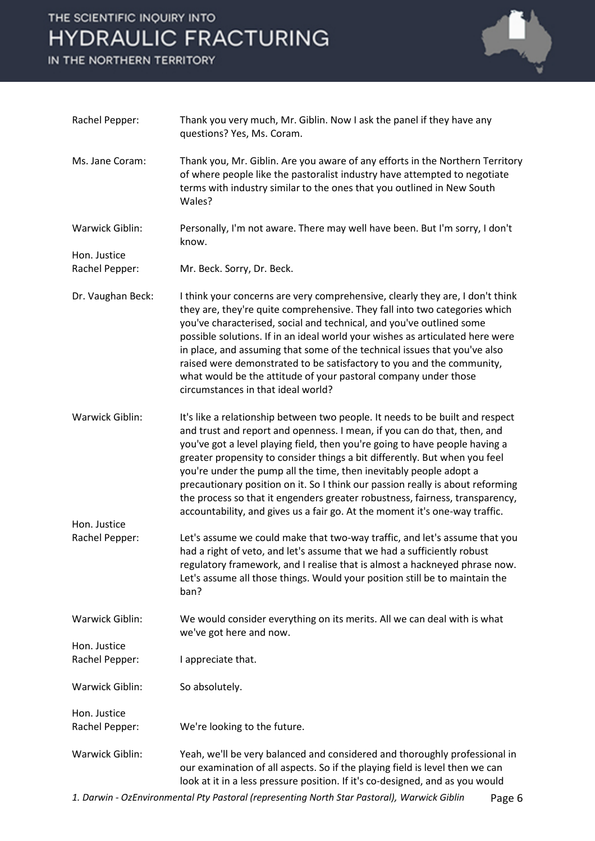## THE SCIENTIFIC INQUIRY INTO **HYDRAULIC FRACTURING**

IN THE NORTHERN TERRITORY



| Rachel Pepper:                 | Thank you very much, Mr. Giblin. Now I ask the panel if they have any<br>questions? Yes, Ms. Coram.                                                                                                                                                                                                                                                                                                                                                                                                                                                                                                                                           |        |
|--------------------------------|-----------------------------------------------------------------------------------------------------------------------------------------------------------------------------------------------------------------------------------------------------------------------------------------------------------------------------------------------------------------------------------------------------------------------------------------------------------------------------------------------------------------------------------------------------------------------------------------------------------------------------------------------|--------|
| Ms. Jane Coram:                | Thank you, Mr. Giblin. Are you aware of any efforts in the Northern Territory<br>of where people like the pastoralist industry have attempted to negotiate<br>terms with industry similar to the ones that you outlined in New South<br>Wales?                                                                                                                                                                                                                                                                                                                                                                                                |        |
| Warwick Giblin:                | Personally, I'm not aware. There may well have been. But I'm sorry, I don't<br>know.                                                                                                                                                                                                                                                                                                                                                                                                                                                                                                                                                          |        |
| Hon. Justice<br>Rachel Pepper: | Mr. Beck. Sorry, Dr. Beck.                                                                                                                                                                                                                                                                                                                                                                                                                                                                                                                                                                                                                    |        |
| Dr. Vaughan Beck:              | I think your concerns are very comprehensive, clearly they are, I don't think<br>they are, they're quite comprehensive. They fall into two categories which<br>you've characterised, social and technical, and you've outlined some<br>possible solutions. If in an ideal world your wishes as articulated here were<br>in place, and assuming that some of the technical issues that you've also<br>raised were demonstrated to be satisfactory to you and the community,<br>what would be the attitude of your pastoral company under those<br>circumstances in that ideal world?                                                           |        |
| Warwick Giblin:                | It's like a relationship between two people. It needs to be built and respect<br>and trust and report and openness. I mean, if you can do that, then, and<br>you've got a level playing field, then you're going to have people having a<br>greater propensity to consider things a bit differently. But when you feel<br>you're under the pump all the time, then inevitably people adopt a<br>precautionary position on it. So I think our passion really is about reforming<br>the process so that it engenders greater robustness, fairness, transparency,<br>accountability, and gives us a fair go. At the moment it's one-way traffic. |        |
| Hon. Justice<br>Rachel Pepper: | Let's assume we could make that two-way traffic, and let's assume that you<br>had a right of veto, and let's assume that we had a sufficiently robust<br>regulatory framework, and I realise that is almost a hackneyed phrase now.                                                                                                                                                                                                                                                                                                                                                                                                           |        |
|                                | Let's assume all those things. Would your position still be to maintain the<br>ban?                                                                                                                                                                                                                                                                                                                                                                                                                                                                                                                                                           |        |
| <b>Warwick Giblin:</b>         | We would consider everything on its merits. All we can deal with is what<br>we've got here and now.                                                                                                                                                                                                                                                                                                                                                                                                                                                                                                                                           |        |
| Hon. Justice<br>Rachel Pepper: | I appreciate that.                                                                                                                                                                                                                                                                                                                                                                                                                                                                                                                                                                                                                            |        |
| Warwick Giblin:                | So absolutely.                                                                                                                                                                                                                                                                                                                                                                                                                                                                                                                                                                                                                                |        |
| Hon. Justice<br>Rachel Pepper: | We're looking to the future.                                                                                                                                                                                                                                                                                                                                                                                                                                                                                                                                                                                                                  |        |
| Warwick Giblin:                | Yeah, we'll be very balanced and considered and thoroughly professional in<br>our examination of all aspects. So if the playing field is level then we can<br>look at it in a less pressure position. If it's co-designed, and as you would                                                                                                                                                                                                                                                                                                                                                                                                   |        |
|                                | 1. Darwin - OzEnvironmental Pty Pastoral (representing North Star Pastoral), Warwick Giblin                                                                                                                                                                                                                                                                                                                                                                                                                                                                                                                                                   | Page 6 |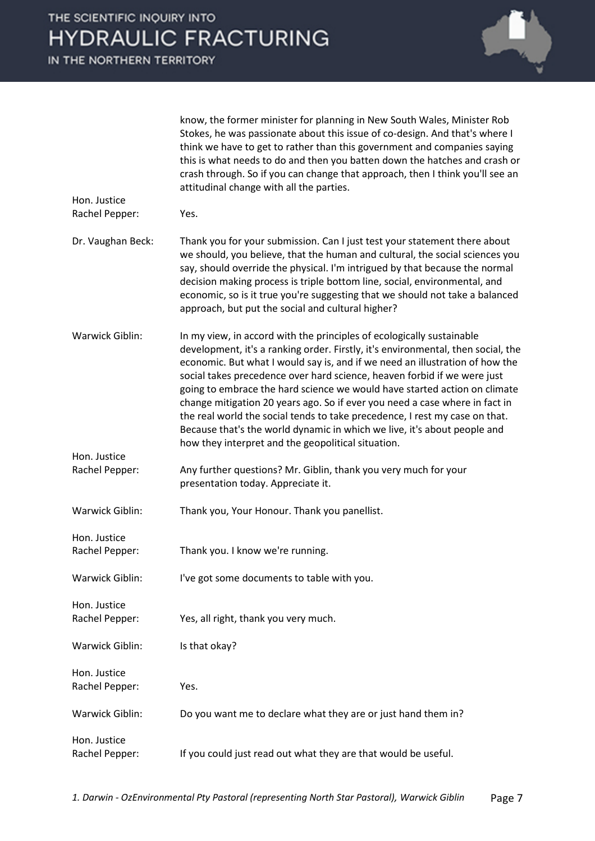|                                | know, the former minister for planning in New South Wales, Minister Rob<br>Stokes, he was passionate about this issue of co-design. And that's where I<br>think we have to get to rather than this government and companies saying<br>this is what needs to do and then you batten down the hatches and crash or<br>crash through. So if you can change that approach, then I think you'll see an<br>attitudinal change with all the parties.                                                                                                                                                                                                                                                      |
|--------------------------------|----------------------------------------------------------------------------------------------------------------------------------------------------------------------------------------------------------------------------------------------------------------------------------------------------------------------------------------------------------------------------------------------------------------------------------------------------------------------------------------------------------------------------------------------------------------------------------------------------------------------------------------------------------------------------------------------------|
| Hon. Justice<br>Rachel Pepper: | Yes.                                                                                                                                                                                                                                                                                                                                                                                                                                                                                                                                                                                                                                                                                               |
| Dr. Vaughan Beck:              | Thank you for your submission. Can I just test your statement there about<br>we should, you believe, that the human and cultural, the social sciences you<br>say, should override the physical. I'm intrigued by that because the normal<br>decision making process is triple bottom line, social, environmental, and<br>economic, so is it true you're suggesting that we should not take a balanced<br>approach, but put the social and cultural higher?                                                                                                                                                                                                                                         |
| Warwick Giblin:                | In my view, in accord with the principles of ecologically sustainable<br>development, it's a ranking order. Firstly, it's environmental, then social, the<br>economic. But what I would say is, and if we need an illustration of how the<br>social takes precedence over hard science, heaven forbid if we were just<br>going to embrace the hard science we would have started action on climate<br>change mitigation 20 years ago. So if ever you need a case where in fact in<br>the real world the social tends to take precedence, I rest my case on that.<br>Because that's the world dynamic in which we live, it's about people and<br>how they interpret and the geopolitical situation. |
| Hon. Justice                   |                                                                                                                                                                                                                                                                                                                                                                                                                                                                                                                                                                                                                                                                                                    |
| Rachel Pepper:                 | Any further questions? Mr. Giblin, thank you very much for your<br>presentation today. Appreciate it.                                                                                                                                                                                                                                                                                                                                                                                                                                                                                                                                                                                              |
| Warwick Giblin:                | Thank you, Your Honour. Thank you panellist.                                                                                                                                                                                                                                                                                                                                                                                                                                                                                                                                                                                                                                                       |
| Hon. Justice<br>Rachel Pepper: | Thank you. I know we're running.                                                                                                                                                                                                                                                                                                                                                                                                                                                                                                                                                                                                                                                                   |
| Warwick Giblin:                | I've got some documents to table with you.                                                                                                                                                                                                                                                                                                                                                                                                                                                                                                                                                                                                                                                         |
| Hon. Justice<br>Rachel Pepper: | Yes, all right, thank you very much.                                                                                                                                                                                                                                                                                                                                                                                                                                                                                                                                                                                                                                                               |
| Warwick Giblin:                | Is that okay?                                                                                                                                                                                                                                                                                                                                                                                                                                                                                                                                                                                                                                                                                      |
| Hon. Justice<br>Rachel Pepper: | Yes.                                                                                                                                                                                                                                                                                                                                                                                                                                                                                                                                                                                                                                                                                               |
| Warwick Giblin:                | Do you want me to declare what they are or just hand them in?                                                                                                                                                                                                                                                                                                                                                                                                                                                                                                                                                                                                                                      |
| Hon. Justice<br>Rachel Pepper: | If you could just read out what they are that would be useful.                                                                                                                                                                                                                                                                                                                                                                                                                                                                                                                                                                                                                                     |